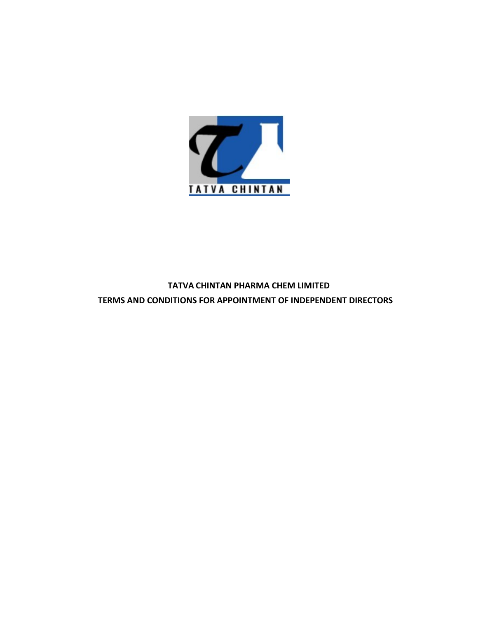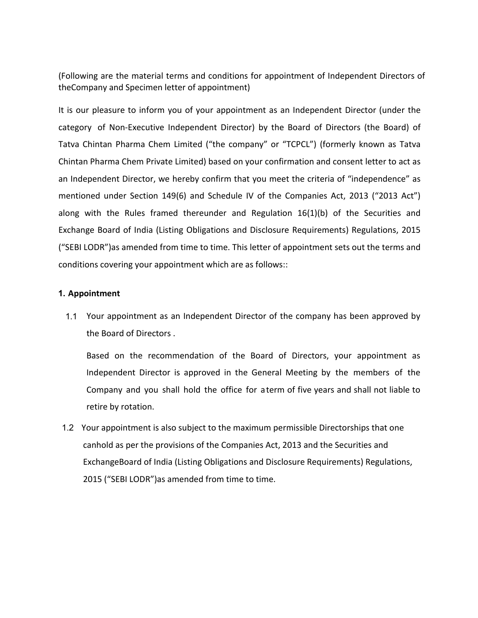(Following are the material terms and conditions for appointment of Independent Directors of<br>theCompany and Specimen letter of appointment)<br>It is our pleasure to inform you of your appointment as an Independent Director (u (Following are the material terms and conditions for appointment of Independent Directors of<br>theCompany and Specimen letter of appointment)<br>It is our pleasure to inform you of your appointment as an Independent Director (u (Following are the material terms and conditions for appointment of Independent Directors of<br>theCompany and Specimen letter of appointment)<br>It is our pleasure to inform you of your appointment as an Independent Director (u (Following are the material terms and conditions for appointment of Independent Directors of<br>theCompany and Specimen letter of appointment)<br>It is our pleasure to inform you of your appointment as an Independent Director (u (Following are the material terms and conditions for appointment of Independent Directors of<br>theCompany and Specimen letter of appointment)<br>It is our pleasure to inform you of your appointment as an Independent Director (u (Following are the material terms and conditions for appointment of Independent Directors of<br>theCompany and Specimen letter of appointment)<br>It is our pleasure to inform you of your appointment as an Independent Director (u (Following are the material terms and conditions for appointment of Independent Directors of<br>the<br>Company and Specimen letter of appointment)<br>It is our pleasure to inform you of your appointment as an Independent Director ( (Following are the material terms and conditions for appointment of Independent Directors of<br>the<br>Company and Specimen letter of appointment)<br>It is our pleasure to inform you of your appointment as an Independent Director ( (Following are the material terms and conditions for appointment of Independent Directors of<br>the<br>Company and Specimen letter of appointment)<br>It is our pleasure to inform you of your appointment as an Independent Director ( (Following are the material terms and conditions for appointment of Independent Directors of<br>the<br>Company and Specimen letter of appointment)<br>It is our pleasure to inform you of your appointment as an Independent Director ( (Following are the material terms and conditions for appointment of Independent Directors of the<br>Company and Specimen letter of appointment)<br>It is our pleasure to inform you of your appointment as an Independent Director ( (Following are the material terms and conditions for appointment of Independent Directors of<br>theCompany and Specimen letter of appointment)<br>It is our pleasure to inform you of your appointment as an Independent Director (u tegory of Non-Executive Independent Director) by the Board of Directors (the Board) of<br>the Chintan Pharma Chem Limited ("the company" or "TCPCL") (formerly known as Tatva<br>initan Pharma Chem Private Limited) based on your c Thintan Pharma Chem Limited ("the company" or "TCPCL") (formerly known as Tatva<br>
Pharma Chem Private Limited) based on your confirmation and consent letter to act as<br>
pendent Director, we hereby confirm that you meet the c Pharma Chem Private Limited) based on your confirmation and consent letter to act as<br>pendent Director, we hereby confirm that you meet the criteria of "independence" as<br>ned under Section 149(6) and Schedule IV of the Compa pendent Director, we hereby confirm that you meet the criteria of "independence" as<br>ned under Section 149(6) and Schedule IV of the Companies Act, 2013 ("2013 Act")<br>with the Rules framed thereunder and Regulation 16(1)(b) ned under Section 149(6) and Schedule IV of the Companies Act, 2013 ("2013 Act")<br>
with the Rules framed thereunder and Regulation 16(1)(b) of the Securities and<br>
ge Board of India (Listing Obligations and Disclosure Requir

# 1. Appointment

with the Rules framed thereunder and Regulation 16(1)(b) of the Sec<br>ge Board of India (Listing Obligations and Disclosure Requirements) Regula<br>CDR")as amended from time to time. This letter of appointment sets out the<br>ons court put and the companison of the company has been approved by<br>cointment<br>considerated as an independent Director of the company has been approved by<br>the Board of Directors.<br>Based on the recommendation of the Board of Dir oins covering your opponuulation which are as solocys...<br>
Ontiment<br>
Your appointment as an Independent Director of the company has been approved by<br>
the Board of Directors.<br>
Based on the recommendation of the Board of Dire ointment<br>
Your appointment as an Independent Director of the company has been approved by<br>
the Board of Directors.<br>
Based on the recommendation of the Board of Directors, your appointment as<br>
Independent Director is approv

1.2 Your appointment is also subject to the maximum permissible Directorships, 2013<br>1.2 Your appointment which are as follows::<br>
1.1 Your appointment as an Independent Director of the company has been approved by<br>
1.1 Your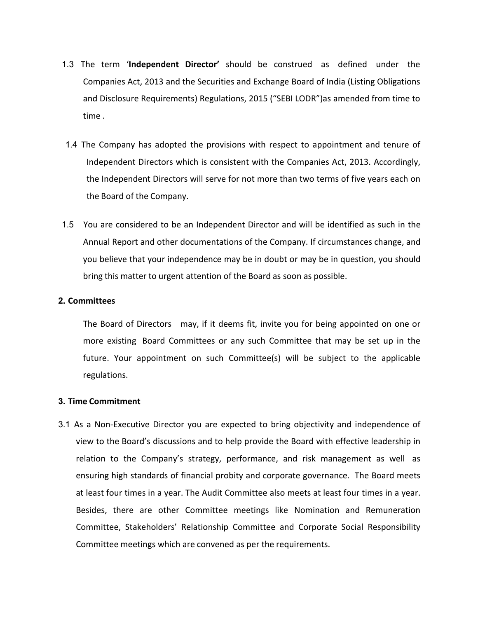- 1.3 The term 'Independent Director' should be construed as defined under the<br>Companies Act, 2013 and the Securities and Exchange Board of India (Listing Obligations<br>and Disclosure Requirements) Regulations, 2015 ("SEBI LOD The term **'Independent Director'** should be construed as defined under the<br>Companies Act, 2013 and the Securities and Exchange Board of India (Listing Obligations<br>and Disclosure Requirements) Regulations, 2015 ("SEBI LODR" Fine term **'Independent Director'** should be construed as defined under the<br>Companies Act, 2013 and the Securities and Exchange Board of India (Listing Obligations<br>and Disclosure Requirements) Regulations, 2015 ("SEBI LODR The term **'Independent Director'** should be construed as defined Companies Act, 2013 and the Securities and Exchange Board of India (List and Disclosure Requirements) Regulations, 2015 ("SEBI LODR") as amence time .<br>The Co 1.4 The term **Company has adopted the Scrutter** Should be construed as defined under the Companies Act, 2013 and the Securities and Exchange Board of India (Listing Obligations and Disclosure Requirements) Regulations, 201 Independent Director' should be construed as defined under the Companies Act, 2013 and the Securities and Exchange Board of India (Listing Obligations and Disclosure Requirements) Regulations, 2015 ("SEBI LODR") as amended the term **'independent Director'** should be construed as defined under the companies Act, 2013 and the Securities and Exchange Board of India (Listing Obligations and Disclosure Requirements) Regulations, 2015 ("SEBI LODR" he term **'Independent Director'** should be construed as defined under<br>Companies Act, 2013 and the Securities and Exchange Board of India (Listing Obligation<br>Indian Disclosure Requirements) Regulations, 2015 ("SEBI LODR") a 1.3 The term **'Independent Director'** should be construed as defined under the<br>
Companies Act, 2013 and the Securities and Exchange Board of India (Listing Obligations<br>
and Disclosure Requirements) Regulations, 2015 ("SEBI The term **'Independent Director'** should be construed as defined under the Companies Act, 2013 and the Securities and Exchange Board of India (Listing Obligations and Disclosure Requirements) Regulations, 2015 ("SEBI LODR"
- Ine term "**independent Director**" should be construed as defined under the<br>Companies Act, 2013 and the Securities and Exchange Board of India (Listing Obligations<br>and Disclosure Requirements) Regulations, 2015 ("SEBI LODR" Companies Act, 2013 and the Securities and Exchange Board of India (Listing Obligations<br>and Disclosure Requirements) Regulations, 2015 ("SEBI LODR") as amended from time to<br>time.<br>The Company has adopted the provisions with
- 1.5 You are considered to be an Independent Director and will be iden<br>
Annual Report and other documentations of the Company. If circums<br>
you believe that your independence may be in doubt or may be in q<br>
bring this matter

# 2. Committees

The Company has adopted the provisions with respect to appointment and tenure of Independent Directors which is consistent with the Companies Act, 2013. Accordingly, the Independent Directors will serve for not more than t more existing Board Committees or any such Committee that may be subject to the application of the dependent Directors which is consistent with the Companies Act, 2013. Accordingly, the Independent Directors will serve for meepennent briectors winth is consistent with the companies Act, 2013. Actoromgly,<br>the Independent Directors will serve for not more than two terms of five years each on<br>the Board of the Company.<br>You are considered to be a regulations.

2.1 Annual Report and other documentations of the Company. If circumstances change, and<br>
2. Committees<br>
2. Committees<br>
2. Committees<br>
2. Committees<br>
2. Committees<br>
2. Committees<br>
2. Committees<br>
2. Committees<br>
2. Committees vou believe that your independence may be in doubt or may be in question, you should<br>bring this matter to urgent attention of the Board as soon as possible.<br> **mumittees**<br>
The Board of Directors may, if it deems fit, invite bring this matter to urgent attention of the Board as soon as possible.<br> **The Board of Directors** may, if it deems fit, invite you for being appointed on one or<br>
morre existing Board Committees or any such Committee that m Ensuring and of Directors may, if it deems fit, invite you for being appointed on one or<br>more existing Board Committees or any such Committee that may be set up in the<br>future. Your appointment on such Committee(s) will be mmittees<br>The Board of Directors may, if it deems fit, invite you for being appointed on one or<br>more existing Board Committees or any such Committee that may be set up in the<br>future. Your appointment on such Committee(s) wi The Board of Directors may, if it deems fit, invite you for being appointed on one or<br>more existing Board Committees or any such Committee that may be set up in the<br>future. Your appointment on such Committee(s) will be sub more existing Board Committees or any such Committee that may be set up in the<br>future. Your appointment on such Committee(s) will be subject to the applicable<br>regulations.<br>Me Commitment<br>As a Non-Executive Director you are future. Your appointment on such Committee(s) will be subject to the applicable<br>regulations.<br>**me Commitment**<br>As a Non-Executive Director you are expected to bring objectivity and independence of<br>view to the Board's discuss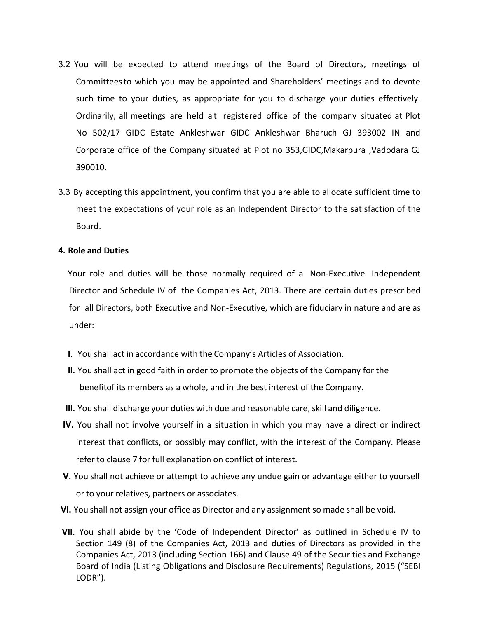- 3.2 You will be expected to attend meetings of the Board of Directors, meetings of<br>Committeesto which you may be appointed and Shareholders' meetings and to devote<br>such time to your duties, as appropriate for you to discha You will be expected to attend meetings of the Board of Directors, meetings of<br>Committeesto which you may be appointed and Shareholders' meetings and to devote<br>such time to your duties, as appropriate for you to discharge Such will be expected to attend meetings of the Board of Directors, meetings of<br>Committeesto which you may be appointed and Shareholders' meetings and to devote<br>such time to your duties, as appropriate for you to discharge You will be expected to attend meetings of the Board of Directors, meetings of<br>Committeesto which you may be appointed and Shareholders' meetings and to devote<br>such time to your duties, as appropriate for you to discharge Nou will be expected to attend meetings of the Board of Directors, meetings of<br>Committeesto which you may be appointed and Shareholders' meetings and to devote<br>such time to your duties, as appropriate for you to discharge (ou will be expected to attend meetings of the Board of Directors, meetings of<br>Committeesto which you may be appointed and Shareholders' meetings and to devote<br>such time to your duties, as appropriate for you to discharge 390010. 3.2 You will be expected to attend meetings of the Board of Directors, meetings of<br>
Committeesto which you may be appointed and Shareholders' meetings and to devote<br>
such time to your duties, as appropriate for you to disc From Will be expected to attend meetings of the Board of Directors, meetings of<br>Committeesto which you may be appointed and Shareholders' meetings and to devote<br>such time to your duties, as appropriate for you to discharge 3.2 You will be expected to attend meetings of the Board of Director<br>Committeesto which you may be appointed and Shareholders' meeting:<br>such time to your duties, as appropriate for you to discharge your du<br>Ordinarily, all Committeesto which you may be appointed and Shareholders' meetings and to devote<br>such time to your duties, as appropriate for you to discharge your duties effectively.<br>Ordinarily, all meetings are held at registered office such time to your duties, as appropriate for you to discharge your duties effectively.<br>Ordinarily, all meetings are held at registered office of the company situated at Plot<br>No 502/17 GIDC Estate Ankleshwar GIDC Ankleshwar Ordinarily, all meetings are held at registered office of the company situated at Plot<br>No 502/17 GIDC Estate Ankleshwar GIDC Ankleshwar Bharuch GJ 393002 IN and<br>Corporate office of the Company situated at Plot no 353,GIDC,
- Board.

under: 390010.<br>
By accepting this appointment, you confirm that you are able to allocate sufficient time to<br>
meet the expectations of your role as an Independent Director to the satisfaction of the<br>
Board.<br> **Role and Duties**<br>
You II. You shall act in accordance with the Company's Articles care, skill and diligence.<br>
INCO and Duties<br>
Note and Duties<br>
Note and Duties<br>
Note and Duties<br>
Note and Duties<br>
Note and Duties<br>
Note and duties will be those no y accepting this appointment, you continent and you are able to allocate sumcent time to<br>eneet the expectations of your role as an independent Director to the satisfaction of the<br>leand Duties<br>ar role and duties will be tho Board.<br> **Role and Duties**<br>
Your role and duties will be those normally required of a Non-Executive Independent<br>
Director and Schedule IV of the Companies Act, 2013. There are certain duties prescribed<br>
for all Directors, b Internal Dutties<br>
Your role and duties will be those normally required of a Non-Executive Independent<br>
Director and Schedule IV of the Companies Act, 2013. There are certain duties prescribed<br>
for all Directors, both Execu ile and Duties<br>our role and duties will be those normally required of a Non-Executive Independent<br>irector and Schedule IV of the Companies Act, 2013. There are certain duties prescribed<br>or all Directors, both Executive and our role and duties will be those normally required of a Non-Executive Independent<br>irector and Schedule IV of the Companies Act, 2013. There are certain duties prescribed<br>or all Directors, both Executive and Non-Executive, Director and Schedule IV of the Companies Act, 2013. There are certain duties prescribed<br>for all Directors, both Executive and Non-Executive, which are fiduciary in nature and are as<br>under:<br>1. You shall act in accordance w

- 
- 
- 
- or all Directors, both Executive and Non-Executive, which are fiduciary in nature and are as<br>
nder:<br>
You shall act in accordance with the Company's Articles of Association.<br>
You shall act in good faith in order to promote I. You shall act in accordance with the Company's Articles of Association.<br>
II. You shall act in good faith in order to promote the objects of the Company for the<br>
benefitof its members as a whole, and in the best interest
- 
- 
- I. You shall act in accordance with the Company's Articles of Association.<br>
II. You shall act in good faith in order to promote the objects of the Company for the<br>
benefitof its members as a whole, and in the best interest You shall act in accordance with the Company's Articles of Association.<br>
You shall act in good faith in order to promote the objects of the Company for the<br>
benefitof its members as a whole, and in the best interest of the You shall act in good faith in order to promote the objects of the Company for the<br>benefitof its members as a whole, and in the best interest of the Company.<br>You shall discharge your duties with due and reasonable care, sk Fou shall act in good latin in order to promote the objects of the Company.<br>
You shall discharge your duties with due and reasonable care, skill and diligence.<br>
You shall not involve yourself in a situation in which you ma LODR").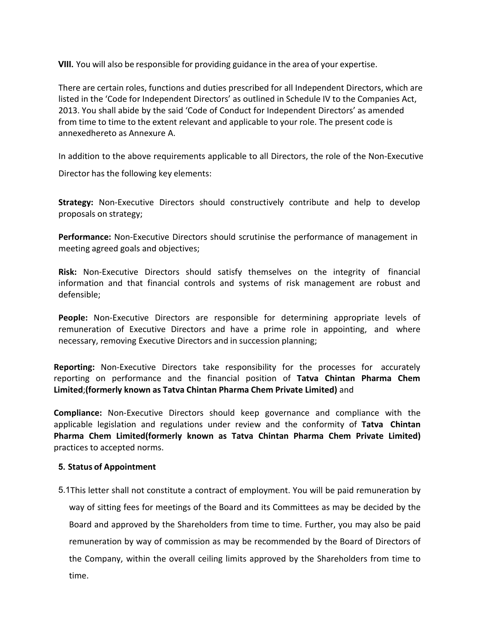VIII. You will also be responsible for providing guidance in the area of your expertise.<br>There are certain roles, functions and duties prescribed for all Independent Directors, which are<br>listed in the 'Code for Independent **VIII.** You will also be responsible for providing guidance in the area of your expertise.<br>There are certain roles, functions and duties prescribed for all Independent Directors, which are<br>listed in the 'Code for Independe **VIII.** You will also be responsible for providing guidance in the area of your expertise.<br>There are certain roles, functions and duties prescribed for all Independent Directors, which are<br>listed in the 'Code for Independe **VIII.** You will also be responsible for providing guidance in the area of your expertise.<br>There are certain roles, functions and duties prescribed for all independent Directors, which are<br>listed in the 'Code for Independe **VIII**. You will also be responsible for providing guidance in the area of your expertise.<br>There are certain roles, functions and duties prescribed for all Independent Directors, which are<br>listed in the 'Code for Independe **VIII.** You will also be responsible for providing guidance in the area of your expertise.<br>There are certain roles, functions and duties prescribed for all Independent Directors, which are<br>listed in the 'Code for Independe **VIII.** You will also be responsible for providing guidance in the area of your expertise.<br>There are certain roles, functions and duties prescribed for all Independent Directors, which are<br>listed in the 'Code for Independe **VIII.** You will also be responsible for providing guidance in the area of your expertise.<br>There are certain roles, functions and duties prescribed for all Independent Directors, which are<br>listed in the 'Code for Independe **VIII.** You will also be responsible for providing guidance in the area of your expertise.<br>There are certain roles, functions and duties prescribed for all Independent Directors, which are<br>listed in the "Code for Independe **VIII.** You will also be responsible for providing guidance in the area of your expert<br>There are certain roles, functions and duties prescribed for all Independent Directisted in the 'Code for Independent Directors' as out **VIII.** You will also be responsible for providing guidance in the area of your expertise.<br>
There are certain roles, functions and duties prescribed for all Independent Directors, which are<br>
listed in the "Code for Indepen VIII. You will also be responsible for providing guidance in the area of your expertise.<br>There are certain roles, functions and duties prescribed for all Independent Directors, which a<br>listed in the 'Code for Independent D There are certain roles, functions and duties prescribed for all Independent Directors, which are<br>listed in the 'Code for Independent Directors' as outlined in Schedule IV to the Companies Act,<br>2013. You shall abide by the Infere are certain fores, functions and outers prescribed or all ineperatent Directors, which are and the Code for Independent Directors' as outlined in Schedule IV to the Companies Act,<br>2013. You shall abide by the said '

defensible;

Irom une to tume to the extent relevant and applicable to your role. The present code is<br>annexedhereto as Annexure A.<br>In addition to the above requirements applicable to all Directors, the role of the Non-Executive<br>Directo annexedneted as Annexure A.<br>
In addition to the above requirements applicable to all Directors, the role of the Non-Executive<br>
Director has the following key elements:<br> **Strategy:** Non-Executive Directors should constructi In addition to the above requirements applicable to all Directors, the role of the Non-Executive<br>Director has the following key elements:<br> **Strategy:** Non-Executive Directors should constructively contribute and help to de Director has the following key elements:<br>
Strategy: Non-Executive Directors should constructively contribute and help to develop<br>
proposals on strategy;<br>
Performance: Non-Executive Directors should scrutinise the performan Strategy: Non-Executive Directors should constructively contribute and help to develop<br>proposals on strategy;<br>Performance: Non-Executive Directors should scrutinise the performance of management in<br>meeting agreed goals and

**Strategy:** Non-Executive Directors should constructively contribute and help to develop<br>proposals on strategy;<br>**Performance:** Non-Executive Directors should scrutinise the performance of management in<br>meeting agreed goals **Performance:** Non-Executive Directors should scrutinise the performance of management in<br> **Risk:** Non-Executive Directors should satisfy themselves on the integrity of financial<br>
information and that financial controls an **Performance:** Non-Executive Directors should scrutinise the performance of management in meeting agreed goals and objectives;<br> **Risk:** Non-Executive Directors should satisfy themselves on the integrity of financial inform meeting agreed goals and objectives;<br> **Risk:** Non-Executive Directors should satisfy themselves on the integrity of financial<br>
information and that financial controls and systems of risk management are robust and<br>
defensib **Risk:** Non-Executive Directors should satisfy themselves on the integrity of filmformation and that financial controls and systems of risk management are robus defensible;<br> **People:** Non-Executive Directors are responsibl **KISK:** Non-Executive Directors should satisfy themselves on the integrition-information and that financial controls and systems of risk management defensible;<br>defensible;<br>**People:** Non-Executive Directors are responsible

derensiole;<br> **People:** Non-Executive Directors and have a prime role in appointing, and where<br>
remuneration of Executive Directors and have a prime role in appointing, and where<br>
recessary, removing Executive Directors rad ople: Non-Executive Directors are responsible for determining appropriate levels of meneration of Executive Directors and have a prime role in appointing, and where cessary, removing Executive Directors and in succession p nuneration or sexetutve Directors and nave a prime role in appointing, and where<br>cessary, removing Executive Directors take responsibility for the processes for accurately<br>orting: Non-Executive Directors take responsibilit orting: Non-Executive Directors take responsibility for the processes for accurately<br>orting on performance and the financial position of **Tatva Chintan Pharma Chem**<br>ted;(formerly known as **Tatva Chintan Pharma Chem Private** orting: Non-Executive Directors take responsibility for the processes for accurately on performance and the financial position of Tatwa Chintan Pharma Chem the financial position of Tatwa Chintan Pharma Chem philance: Nontime.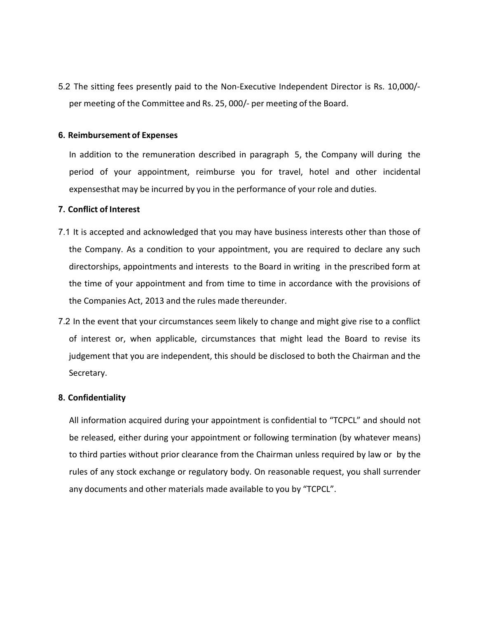5.2 The sitting fees presently paid to the Non-Executive Independent Director is Rs. 10,000/-<br>per meeting of the Committee and Rs. 25, 000/- per meeting of the Board.<br>6. Reimbursement of Expenses Per meeting of the Committee and Rs. 25, 000/- per meeting of the Board.<br>Reimbursement of Expenses<br>In addition to the remuneration described in paragraph 5, the Company will during the

5.2 The sitting fees presently paid to the Non-Executive Independent Director is Rs. 10<br>
per meeting of the Committee and Rs. 25, 000/- per meeting of the Board.<br> **6. Reimbursement of Expenses**<br>
In addition to the remunera In a sitting fees presently paid to the Non-Executive Independent Director is Rs. 10,000/-<br>per meeting of the Committee and Rs. 25, 000/- per meeting of the Board.<br>**Reimbursement of Expenses**<br>In addition to the remuneratio Period of your appointment, reimburse you for travel, the compare is Rs. 10,000/-<br>per meeting of the Committee and Rs. 25, 000/- per meeting of the Board.<br>**Reimbursement of Expenses**<br>In addition to the remuneration describ Proper meeting of the Committee and Rs. 25, 000/- per meeting of the Board.<br> **Reimbursement of Expenses**<br> **Reimbursement of Expenses**<br>
In addition to the remuneration described in paragraph 5, the Company will during the<br> 5.2 The sitting fees presently paid to the Non-Executive Independent Director<br>per meeting of the Committee and Rs. 25, 000/- per meeting of the Board.<br>**6. Reimbursement of Expenses**<br>In addition to the remuneration describe

- 5.2 The sitting fees presently paid to the Non-Executive Independent Director is Rs. 10,000/-<br>per meeting of the Committee and Rs. 25, 000/- per meeting of the Board.<br>**6. Reimbursement of Expenses**<br>In addition to the remun The sitting fees presently paid to the Non-Executive Independent Director is Rs. 10,000/-<br>per meeting of the Committee and Rs. 25, 000/- per meeting of the Board.<br>**Reimbursement of Expenses**<br>In addition to the remuneration The sitting fees presently paid to the Non-Executive Independent Director is Rs. 10,000/-<br>per meeting of the Committee and Rs. 25, 000/- per meeting of the Board.<br>**Reimbursement of Expenses**<br>In addition to the remuneration The strung rees presentry plant to the tron-Exectione inteperatent brector is iss. 10,000/-<br>per meeting of the Committee and Rs. 25, 000/- per meeting of the Board.<br>**Reimbursement of Expenses**<br>In addition to the remunerati Reimbursement of Expenses<br>
In addition to the remuneration described in paragraph 5, the Company will during the<br>
period of your appointment, reimburse you for travel, hotel and other incidental<br>
expenses that may be incur **6. Reimbursement of Expenses**<br>
In addition to the remuneration described in paragraph 5, the Company will during the<br>
period of your appointment, reimburse you for travel, hotel and other incidental<br>
expenses that may be In addition to the remuneration described in paragraph 5, the Company will during the period of your appointment, reimburse you for travel, hotel and other incidental expensesthat may be incurred by you in the performance period of your appointment, reimburse you for travel, hotel and other incidental<br>expensesthat may be incurred by you in the performance of your role and duties.<br>Conflict of Interest<br>It is accepted and acknowledged that you It is accepted and acknowledged that you may have business interests other than those of<br>the Company. As a condition to your appointment, you are required to declare any such<br>directorships, appointments and interests to th
- Secretary.

# 8. Confidentiality

the Company. As a condition to your appointment, you are required to declare any such<br>directorships, appointments and interests to the Board in writing in the prescribed form at<br>the time of your appointment and from time t directorships, appointments and interests to the Board in writing in the prescribed form at<br>the time of your appointment and from time to time in accordance with the provisions of<br>the Companies Act, 2013 and the rules made the time of your appointment and from time to time in accordance with the provisions of<br>the Companies Act, 2013 and the rules made thereunder.<br>In the event that your circumstances seem likely to change and might give rise the Companies Act, 2013 and the rules made thereunder.<br>
In the event that your circumstances seem likely to change and might give rise to a conflict<br>
of interest or, when applicable, circumstances that might lead the Board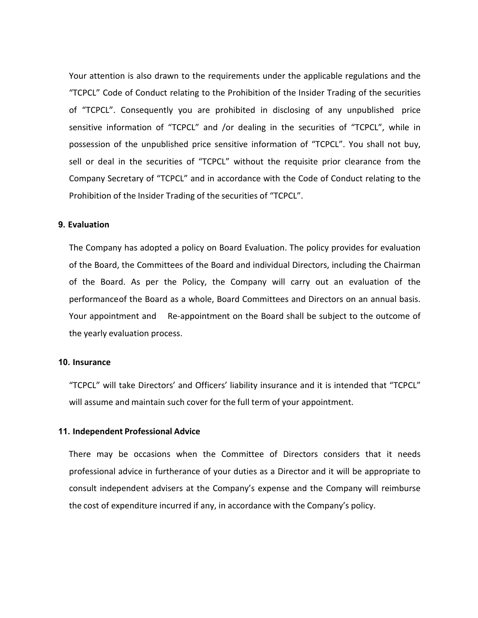Your attention is also drawn to the requirements under the applicable regulations and the<br>"TCPCL" Code of Conduct relating to the Prohibition of the Insider Trading of the securities<br>of "TCPCL". Consequently you are prohib Your attention is also drawn to the requirements under the applicable regulations and the "TCPCL" Code of Conduct relating to the Prohibition of the Insider Trading of the securities of "TCPCL". Consequently you are prohib Your attention is also drawn to the requirements under the applicable regulations and the<br>"TCPCL" Code of Conduct relating to the Prohibition of the Insider Trading of the securities<br>of "TCPCL". Consequently you are prohib Your attention is also drawn to the requirements under the applicable regulations and the<br>"TCPCL" Code of Conduct relating to the Prohibition of the Insider Trading of the securities<br>of "TCPCL". Consequently you are prohib Your attention is also drawn to the requirements under the applicable regulations and the "TCPCL" Code of Conduct relating to the Prohibition of the Insider Trading of the securities of "TCPCL". Consequently you are prohib Your attention is also drawn to the requirements under the applicable regulations and the "TCPCL" Code of Conduct relating to the Prohibition of the Insider Trading of the securities of "TCPCL". Consequently you are prohib Your attention is also drawn to the requirements under the applicable regulations and the "TCPCL" Code of Conduct relating to the Prohibition of the Insider Trading of the securities of "TCPCL". Consequently you are prohib Your attention is also drawn to the requirements under the applicable regulations and the<br>"TCPCL" Code of Conduct relating to the Prohibition of the Insider Trading of the securities<br>of "TCPCL". Consequently you are prohib Your attention is also drawn to the requirements under the applicable regulations and the<br>"TCPCL" Code of Conduct relating to the Prohibition of the Insider Trading of the securities<br>of "TCPCL". Consequently you are prohib Your attention is also drawn to the requirements under the applicable regulations and the<br>"TCPCL" Code of Conduct relating to the Prohibition of the Insider Trading of the securities<br>of "TCPCL". Consequently you are prohib "TCPCL" Code of Conduct relating to the Prohibition of the Insider Trading of the securities<br>of "TCPCL". Consequently you are prohibited in disclosing of any unpublished price<br>sensitive information of "TCPCL" and /or deali of "TCPCL". Consequently you are prohibited in disclosing of any unpublished price<br>sensitive information of "TCPCL" and /or dealing in the securities of "TCPCL", while in<br>possession of the unpublished price sensitive infor

## 9. Evaluation

sensitive information of "TCPCL" and /or dealing in the securities of "TCPCL", while in<br>possession of the unpublished price sensitive information of "TCPCL". You shall not buy,<br>sell or deal in the securities of "TCPCL" wit possession of the unpublished price sensitive information of "TCPCL". You shall not tell or deal in the securities of "TCPCL" without the requisite prior clearance from Company Secretary of "TCPCL" and in accordance with t Prohibition of the Insider Trading of the securities of "TCPCL".<br> **Evaluation**<br>
The Company has adopted a policy on Board Evaluation. The policy provides for evaluation<br>
of the Board, the Committees of the Board and indivi Evaluation<br>The Company has adopted a policy on Board Evaluation. The policy provides for evaluation<br>of the Board, the Committees of the Board and individual Directors, including the Chairman<br>of the Board. As per the Policy The Company has adopted a policy on Board Evaluation. The policy provides for evaluation<br>of the Board, the Committees of the Board and individual Directors, including the Chairman<br>of the Board. As per the Policy, the Compa of the Board, the Committees of the Board and individual Directors, including the Chairman<br>of the Board. As per the Policy, the Company will carry out an evaluation of the<br>performanceof the Board as a whole, Board Committe of the Board. As per the Policy, the Company will carry out an evaluation of the<br>performanceof the Board as a whole, Board Committees and Directors on an annual basis.<br>Your appointment and Re-appointment on the Board shall

## 10. Insurance

performanceof the Board as a whole, Board Committees and Directors on an annual basis.<br>
Your appointment and Re-appointment on the Board shall be subject to the outcome of<br>
the yearly evaluation process.<br>
Insurance<br>
"TCPCL Your appointment and Re-appointment on the Board shall be subject to the outcome of<br>the yearly evaluation process.<br>
Insurance<br>
"TCPCL" will take Directors' and Officers' liability insurance and it is intended that "TCPCL"<br>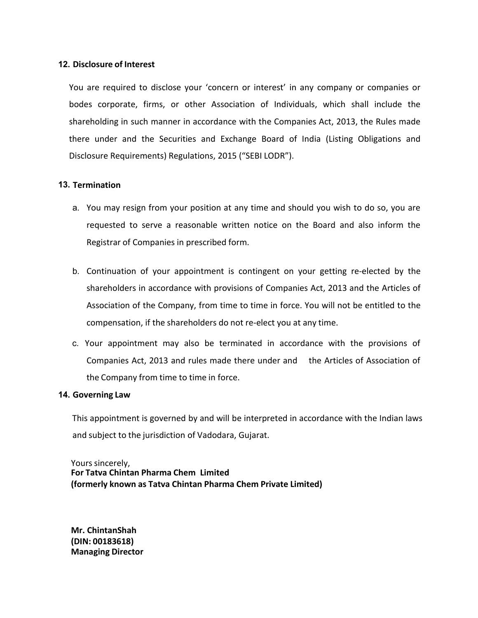12. Disclosure of Interest<br>
You are required to disclose your 'concern or interest' in any company or con<br>
bodes corporate, firms, or other Association of Individuals, which shall in<br>
shareholding in such manner in accorda **Disclosure of Interest**<br>You are required to disclose your 'concern or interest' in any company or companies or<br>bodes corporate, firms, or other Association of Individuals, which shall include the<br>shareholding in such mann **Disclosure of Interest**<br>
You are required to disclose your 'concern or interest' in any company or companies or<br>
bodes corporate, firms, or other Association of Individuals, which shall include the<br>
shareholding in such m Shareholding in such manner in accordance with the Companies or bodes corporate, firms, or other Association of Individuals, which shall include the shareholding in such manner in accordance with the Companies Act, 2013, t Disclosure of Interest<br>
You are required to disclose your 'concern or interest' in any company or companies or<br>
bodes corporate, firms, or other Association of Individuals, which shall include the<br>
shareholding in such man Disclosure of Interest<br>
You are required to disclose your 'concern or interest' in any company or companies or<br>
bodes corporate, firms, or other Association of Individuals, which shall include the<br>
shareholding in such man Disclosure of interest<br>You are required to disclose your 'concern or interest' in any company or companies or<br>odes corporate, firms, or other Association of Individuals, which shall include the<br>hareholding in such manner i required to disclose your 'concern or interest' in any company or companies or<br>rest corporate, firms, or other Association of Individuals, which shall include the<br>eholding in such manner in accordance with the Companies Ac closure of Interest<br>are required to disclose your 'concern or interest' in any company or companies or<br>s corporate, firms, or other Association of Individuals, which shall include the<br>eholding in such manner in accordance Four are required to disclose your 'concern or interest' in any company or companies or<br>ordes corporate, firms, or other Association of Individuals, which shall include the<br>hareholding in such manner in accordance with the ss corporate, firms, or other Association of Individuals, which shall include the<br>eholding in such manner in accordance with the Companies Act, 2013, the Rules made<br>e under and the Securities and Exchange Board of India (L

## 13. Termination

- 
- eholding in such manner in accordance with the Companies Act, 2013, the Rules made<br>e under and the Securities and Exchange Board of India (Listing Obligations and<br>osure Requirements) Regulations, 2015 ("SEBI LODR").<br>**Minat** e under and the Securities and Exchange Board of India (Listing Obligations and<br>osure Requirements) Regulations, 2015 ("SEBI LODR").<br>
Mination<br>
You may resign from your position at any time and should you wish to do so, yo Disclosure Requirements) Regulations, 2015 ("SEBI LODR").<br> **Termination**<br>
a. You may resign from your position at any time and should you wish to do so, you are<br>
requested to serve a reasonable written notice on the Board When mination<br>
You may resign from your position at any time and should you wish to do so, you are<br>
requested to serve a reasonable written notice on the Board and also inform the<br>
Registrar of Companies in prescribed form mination<br>
You may resign from your position at any time and should you wish to do so, you are<br>
requested to serve a reasonable written notice on the Board and also inform the<br>
Registrar of Companies in prescribed form.<br>
Co a. You may resign from your position at any time and should you wish to depresented to serve a reasonable written notice on the Board and also<br>Registrar of Companies in prescribed form.<br>b. Continuation of your appointment requested to serve a reasonable written notice on the Board and also inform the<br>Registrar of Companies in prescribed form.<br>D. Continuation of your appointment is contingent on your getting re-elected by the<br>shareholders in Registrar of Companies in prescribed form.<br>
b. Continuation of your appointment is contingent on your getting re-elected by the<br>
shareholders in accordance with provisions of Companies Act, 2013 and the Articles of<br>
Associ b. Continuation of your appointment is contingent on your getting<br>shareholders in accordance with provisions of Companies Act, 2013<br>Association of the Company, from time to time in force. You will not<br>compensation, if the shareholders in accordance with provisions of Companies Act, 2013 and the Articles of<br>Association of the Company, from time to time in force. You will not be entitled to the<br>compensation, if the shareholders do not re-elec
	- shareholders in accordance with provisions of Companies Act, 2013 and the Articles of<br>Association of the Company, from time to time in force. You will not be entitled to the<br>compensation, if the shareholders do not re-elec c. Your appointment may also be terminated in accordance with<br>Companies Act, 2013 and rules made there under and the Artic<br>the Company from time to time in force.<br>**Governing Law**<br>This appointment is governed by and will be C. Total appointment may also be cerminated in accordance with<br>Companies Act, 2013 and rules made there under and the Article<br>the Company from time to time in force.<br>Governing Law<br>This appointment is governed by and will b

Companies Act, 2013 and rules made there under and the Articles of the Company from time to time in force.<br> **Governing Law**<br>
This appointment is governed by and will be interpreted in accordance with t<br>
and subject to the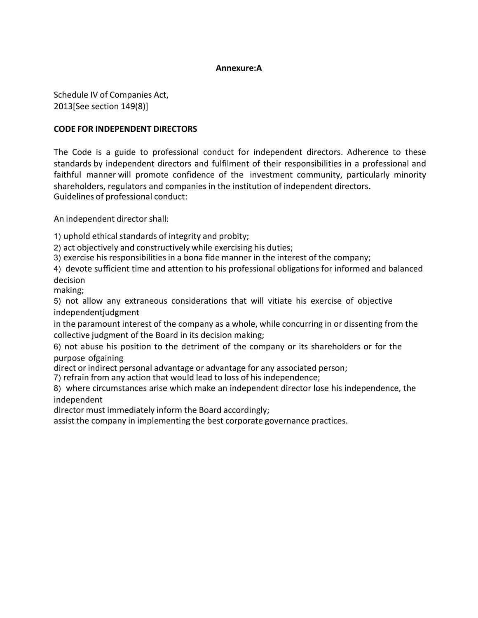# Annexure:A

Annexure:A<br>Schedule IV of Companies Act,<br>2013[See section 149(8)]<br>CODE FOR INDEPENDENT DIRECTORS<br>The Code is a guide to professional conduct for independent directors. Adherence to the Annexure:A<br>
Schedule IV of Companies Act,<br>
2013[See section 149(8)]<br> **CODE FOR INDEPENDENT DIRECTORS**<br>
The Code is a guide to professional conduct for independent directors. Adheret<br>
standards by independent directors and Annexure:A<br>
Schedule IV of Companies Act,<br>
2013[See section 149(8)]<br>
CODE FOR INDEPENDENT DIRECTORS<br>
The Code is a guide to professional conduct for independent directors. Adherence to t<br>
standards by independent directors Annexure:A<br>
Schedule IV of Companies Act,<br>
2013[See section 149(8)]<br> **CODE FOR INDEPENDENT DIRECTORS**<br>
The Code is a guide to professional conduct for independent directors. Adherence to these<br>
standards by independent dir **Schedule IV of Companies Act,<br>2013[See section 149(8)]**<br>**CODE FOR INDEPENDENT DIRECTORS**<br>The Code is a guide to professional conduct for independent directors. Adherence to these<br>standards by independent directors and ful Annexure:A<br>
Schedule IV of Companies Act,<br>
2013[See section 149(8)]<br> **CODE FOR INDEPENDENT DIRECTORS**<br>
The Code is a guide to professional conduct for independent directors. Adherence to these<br>
standards by independent dir **Annexure:A**<br>Schedule IV of Companies Act,<br>2013[See section 149(8)]<br>**CODE FOR INDEPENDENT DIRECTORS**<br>The Code is a guide to professional conduct for independent directors. Adherence to these<br>standards by independent direct Annexure:A<br>
Schedule IV of Companies Act,<br>
2013[See section 149(8)]<br>
CODE FOR INDEPENDENT DIRECTORS<br>
The Code is a guide to professional conduct for independent directors. Adherence to t<br>
standards by independent directors **Schedule IV of Companies Act,<br>
2013[See section 149(8)]**<br> **CODE FOR INDEPENDENT DIRECTORS**<br>
The Code is a guide to professional conduct for independent directors. Adherence to<br>
Its Code is a guide to professional conduct **Annexure:A**<br> **Annexure:A**<br>
2013[See section 149(8)]<br> **CODE FOR INDEPENDENT DIRECTORS**<br>
The Code is a guide to professional conduct for independent directors. Adherence to these<br>
standards by independent directors and fulf **Annexure:A**<br> **Schedule IV of Companies Act,**<br> **2013[See section 149(8)]**<br> **CODE FOR INDEPENDENT DIRECTORS**<br>
The Code is a guide to professional conduct for independent directors. Adherence to these<br>
standards by independe Annexure:A<br>
2013[See section 149(8)]<br>
200E FOR INDEPENDENT DIRECTORS<br>
The Code is a guide to professional conduct for independent directors. Adherence to these<br>
atstandards by independent directors and fulfilment of their Schedule IV of Companies Act,<br>2013[See section 149(8)]<br> **CODE FOR INDEPENDENT DIRECTORS**<br>
The Code is a guide to professional conduct for independent directors. Adherence to these<br>
standards by independent directors and fu 2013(See section 149(8)]<br> **CODE FOR INDEPENDENT DIRECTORS**<br>
The Code is a guide to professional conduct for independent directors. Adherence to these<br>
standards by independent directors and fulfilment of their responsibili CODE FOR INDEPENDENT DIRECTORS<br>The Code is a guide to professional conduct for independent directors. Adherence to these<br>trandards by independent directors and fulfilment of their responsibilities in a professional and<br>fai The Code is a guide to professional conduct for independent directors. Adherence to these<br>standards by independent directors and fulfilment of their responsibilities in a professional and<br>faithful manner will promote confi Ine Code is a guide to proressional conduct for independent directors. Adherence to these<br>tstandards by independent directors and fulfilment of their responsibilities in a professional and<br>faithful manner will promote conf standards by independent directors and fultilment of their responsibilities<br>faithful manner will promote confidence of the investment community,<br>faintful manner will promote confidence of the investment community,<br>Guidelin faithful manner will promote confidence of the investment community, particularly minority<br>shareholders, regulators and companies in the institution of independent directors.<br>An independent director shall:<br>1) uphold ethica

decision shareholders, regulators and companies in the institution of independent directors.<br>Guidelines of professional conduct:<br>An independent director shall:<br>2) act objectively and constructively while exercising his duties;<br>3) e Guidelines of professional conduct:<br>
An independent director shall:<br>
2) uphold ethical standards of integrity and probity;<br>
2) act objectively and constructively while exercising his duties;<br>
3) exercise his responsibiliti An independent director shall:<br>2) uphold ethical standards of integrity and probity;<br>2) act objectively while exercising his duties;<br>3) exercise his responsibilities in a bona fide manner in the interest of the company;<br>3) 1) uphold ethical standards of integrity and probity;<br>2) act objectively and constructively while exercising his duties:<br>3) exercise his responsibilities in a bona fide manner in the interest of the company;<br>4) devote suff

making;

independentjudgment

independent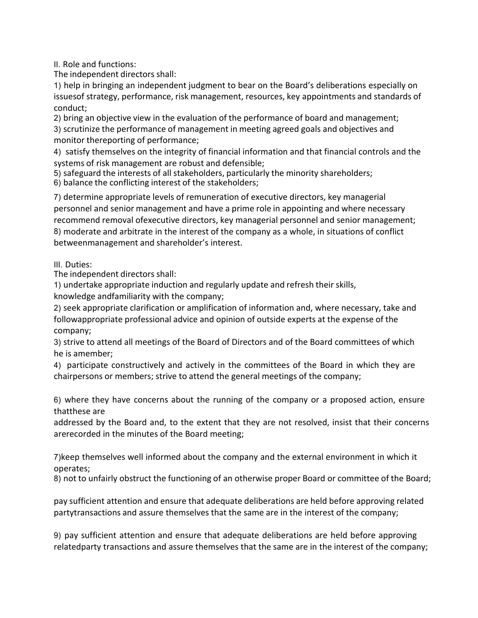II. Role and functions:<br>The independent directors shall:<br>1) help in bringing an independent judgment to bear on the Board's deliberation<br>issuesof strategy, performance, risk management, resources, key appointments<br>conduct; II. Role and functions:<br>The independent directors shall:<br>1) help in bringing an independent judgment to bear on the Board's deliberations especially o<br>issuesof strategy, performance, risk management, resources, key appoint II. Role and functions:<br>1) help in bringing an independent judgment to bear on the Board's deliberations especially on<br>1) help in bringing an independent judgment to bear on the Board's deliberations especially on<br>issuesof II. Role and functions:<br>The independent directors shall:<br>1) help in bringing an independent judgment to bear on the Board's deliberations especially on<br>issuesof strategy, performance, risk management, resources, key appoin conduct; II. Role and functions:<br>2) help in bringing an independent judgment to bear on the Board's deliberations especially on<br>3) help in bringing an independent judgment to bear on the Board's deliberations especially on<br>3) bring II. Role and functions:<br>The independent directors shall:<br>1) help in bringing an independent judgment to bear on the Board's deliberations especially on<br>1) scrutinize in strategy, performance, risk management, resources, ke 1). Role and functions:<br>
1). Relia and functions chall:<br>
1) help in bringing an independent judgment to bear on the Board's deliberations especially on<br>
1) help in bringing an independent judgment, resources, key appointme ll. Role and functions:<br>The independent directors shall:<br>1) help in bringing an independent judgment to bear on the Board's deliberations especially on<br>1) help in bringing an independent judgment, resources, key appointmen

II. Role and functions:<br>The independent directors shall:<br>1) help in bringing an independent judgment to bear on the Board's deliberations especially<br>1) shelp in bringing an independence, risk management, resources, key app

II. Role and functions:<br>The independent directors shall:<br>
1) slelp in bringing an independent judgment to bear on the Board's deliberations especially on<br>
1) secosis of strategy, performance, risk management, resources, ke II. Role and functions:<br>
II. Role and functions:<br>
The independent directors shall:<br>
1) help in bringing an independent judgment to bear on the Board's deliberations especially on<br>
1) help in bringing an independent judgmen II. Role and functions:<br>
The independent directors shall:<br>
1) elep in bringing an independent judgment to bear on the Board's deliberations especially on<br>
1) sciences fartacey, performance, risk management, resources, key II. Role and functions:<br>
The independent directors shall:<br>
1) help in bringing an independent judgment to bear on the Board's deliberations especially on<br>
conduct;<br>
conduct;<br>
conduct;<br>
conduct;<br>
conduct;<br>
2) string an obje II. Role and functions:<br>The independent directors shall:<br>1) help in bringing an independent judgment to bear on the Board's deliberations especially on<br>conduct;<br>2) bring an objective view in the evaluation of the performan II. Role and functions:<br>The independent directors shall:<br>The independent directors shall:<br>1) help in bringing an independent judgment to bear on the Board's deliberations especially on<br>5) cring an objective view in the eva II. Role and functions:<br>The independent directors shall:<br>1) help in bringing an independent judgment to bear on the Board's deliberations especially on<br>1) help in bringing an independent judgment to bear on the Board's del 1) help in bringing an independent judgment to bear on the Board's deliberations especially of sisuesof strategy, performance, risk management, resources, key appointments and standards conduct;<br>conduction and bjective vie issuesof strategy, performance, risk management, resources, key appointments and standards of<br>conduct;<br>2) uning an objective view in the evaluation of the performance of board and management;<br>2) scrutinize the performance conduct;<br>2) bring an objective view in the evaluation of the performance of board and management;<br>2) scrutinize the performance of management in meeting agreed goals and objectives and<br>3) scrutinize the performance;<br>4) sat 2) bring an objective view in the evaluation of the performance of board and management;<br>3) scrutinize the performance of management in meeting agreed goals and objectives and<br>3) satisfy themselves on the integrity of fina 3) scrutinize the performance of management in meeting agreed goals and objectives and<br>4) satisfy themselves on the integrity of financial information and that financial controls and the<br>4) satisfy themselves on the integr 4) satisfy themselves on the integrity of financial information and that financial controls and the<br>systems of risk management are robust and defensible;<br>5) safeguard the interests of all stakeholders, particularly the min systems of risk management are robust and defensible;<br>
5) safeguard the interests of all stakeholders, particularly the minority sh<br>
6) balance the conflicting interest of the stakeholders;<br>
7) determine appropriate levels 5) safeguard the interests of all stakeholders, particularly the minority shareholders;<br>
6) balance the conflicting interest of the stakeholders;<br>
7) determine appropriate levels of remuneration of executive directors, key 6) balance the conflicting interest of the stakeholders;<br>7) determine appropriate levels of remuneration of executive directors, key managerial<br>personnel and senior management and have a prime role in appointing and where personnel and senior management and have a prime role in appointing and where necessary<br>recommend removal ofexecutive directors, key managerial personnel and senior management;<br>Robusties and arbitrate in the interest of th

III. Duties:

company; recommend removal ofexecutive directors, key managerial personnel and ser<br>8) moderate and arbitrate in the interest of the company as a whole, in situat<br>betweenmanagement and shareholder's interest.<br>III. Duties:<br>The indepe 8) moderate and arbitrate in the interest of the company as a whole, in situations of conflict<br>the betweenmanagement and shareholder's interest.<br>The independent directors shall:<br>The independent directors shall:<br>Annowledge betweenmanagement and shareholder's interest.<br>
III. Duties:<br>
The independent directors shall:<br>
The independent directors shall:<br>
2) seek appropriate induction and regularly update and refresh their skills,<br>
knowledge andfa III. Duties:<br>The independent directors shall:<br>1) undertake appropriate induction and regularly update and refresh their skills,<br>2) seek appropriate clarification or amplification of information and, where necessary, take a 1) undertake appropriate induction and regularly update and refresh their skills,<br>8) undertake appropriate induction and regularly update and refresh their skills,<br>2) seek appropriate professional advice and opinion of out 2) seek appropriate clarification or amplification of information and, where necessary, take and<br>followappropriate professional advice and opinion of outside experts at the expense of the<br>company;<br>3) strive to attend all m

followappropriate professional advice and opinion of outside experts at the expense of the<br>company;<br>3) strive to attend all meetings of the Board of Directors and of the Board committees of which<br>he is amember;<br>3) particip 3) strive to attend all meetings of the Board of Directors and of the Board committees of which the is amember;<br>4) participate constructively and actively in the committees of the Board in which they are<br>4) participate con he is amember;<br>4) participate constructively and actively in the committees of the Board in which they are<br>chairpersons or members; strive to attend the general meetings of the company;<br>6) where they have concerns about th

operates;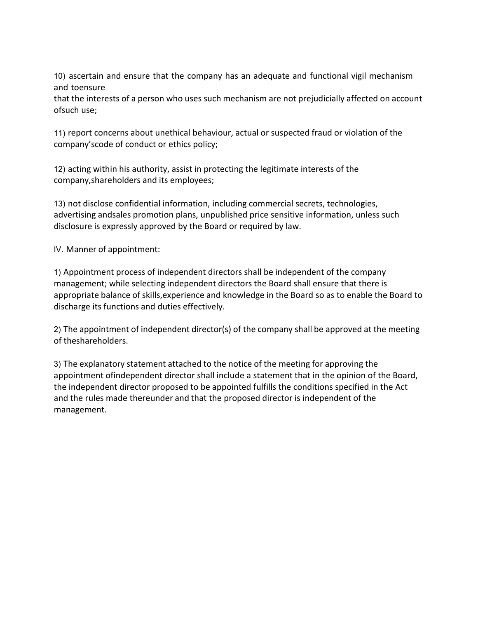10) ascertain and ensure that the company has an adequate and functional vigil mechanism<br>and toensure<br>that the interests of a person who uses such mechanism are not prejudicially affected on account<br>ofsuch use;<br>11) renort 10) ascertain and ensure that the company has an adequate and function<br>and toensure<br>that the interests of a person who uses such mechanism are not prejudio<br>ofsuch use;<br>11) report concerns about unethical behaviour, actual 10) ascertain and ensure that the company has an adequate and functional vigil mechanism<br>and toensure<br>that the interests of a person who uses such mechanism are not prejudicially affected on account<br>ofsuch use;<br>11) report 10) ascertain and ensure that the company has an adequate and functional vigil mechanism<br>and toensure<br>that the interests of a person who uses such mechanism are not prejudicially affected on account<br>ofsuch use;<br>11) report 10) ascertain and ensure that the company has an adequate and functional vigil mechanism<br>and toensure<br>that the interests of a person who uses such mechanism are not prejudicially affected on account<br>of such use;<br>11) report

(a) ascertain and ensure that the company has an adequate and function<br>and toensure<br>that the interests of a person who uses such mechanism are not prejudicial<br>of such use;<br>(1) report concerns about unethical behaviour, act

10) ascertain and ensure that the company has an adequate and functional vigil mechanism<br>and toensure<br>that the interests of a person who uses such mechanism are not prejudicially affected on account<br>ofsuch use;<br>11) report 10) ascertain and ensure that the company has an adequate and functional vigil mechanism<br>and toensure<br>that the interests of a person who uses such mechanism are not prejudicially affected on account<br>ofsuch use;<br>11) report 10) ascertain and ensure that the company has an adequate and functional vigil mechanism<br>and toensure<br>disclose confidential information and the interests of a person who uses such mechanism are not prejudicially affected o 10) ascertain and ensure that the company has an adequate and functional vigil mechanism<br>and toensure<br>that the interests of a person who uses such mechanism are not prejudicially affected on account<br>ofsuch use;<br>11) report 10) ascertain and ensure that the company has an adequate and functional vigil mechanism<br>and toensure<br>distribute interests of a person who uses such mechanism are not prejudicially affected on account<br>ofsuch use;<br>11) repor

10) ascertain and ensure that the company has an adequate and functional vigital<br>that the interests of a person who uses such mechanism are not prejudicially affect<br>of such use;<br>of such use;<br>11) report concerns about uneth 10) assettain and ensure that the company has an adequate and intuitional vign interianism<br>and toensure<br>that the interests of a person who uses such mechanism are not prejudicially affected on account<br>ofsuch use;<br>11) repor and coensure<br>that the interests of a person who uses such mechanism are not prejudicially affected on account<br>ofsuch use;<br>11) report concerns about unethical behaviour, actual or suspected fraud or violation of the<br>company trat the interests or a person wino uses such mechanism are not prejudically arected on account<br>of such use;<br>11) report concerns about unethical behaviour, actual or suspected fraud or violation of the<br>company'scode of con olsuch use;<br>
11) report concerns about unethical behaviour, actual or suspected fraud or violation of the<br>
21) acting within his authority, assist in protecting the legitimate interests of the<br>
22) acting within his author 11 yeport conterns about unetrinat be independent director company's code of conduct or ethics policy;<br>21 acting within his authority, assist in protecting the legitimate interests of the<br>company, shareholders and its empl company scoue or conduct or etnics pointy;<br>12) acting within his authority, assist in protecting the legitimate inter<br>company,shareholders and its employees;<br>13) not disclose confidential information, including commercial

12) acturg within in slauthorry, assist in protecting the legitimate interests or the<br>20) anot disclose confidential information, including commercial secrets, technologies,<br>3) and disclose confidential information, includ company,sharenoiders and its employees;<br>13) not disclose confidential information, including commercial secrets, technologies,<br>advertising andsales promotion plans, unpublished price sensitive information, unless such<br>disc 13) not disclose confidential information, including commercial secrets, technologies,<br>advertising andsales promotion plans, unpublished price sensitive information, unless such<br>disclosure is expressly approved by the Boar 13) not disclose continential information, including commercial secrets, technologies,<br>advertising andsales promotion plans, unpublished price sensitive information, unless such<br>disclosure is expressly approved by the Boar management.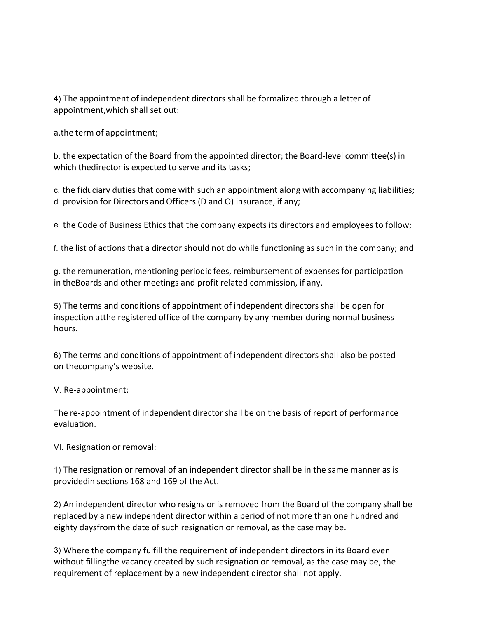4) The appointment of independent directors shall be formalized through a letter of<br>appointment, which shall set out:<br>a.the term of appointment;<br>b. the expectation of the Board from the appointed director: the Board-level 4) The appointment of independent directors shall be formalized through a letter of<br>appointment,which shall set out:<br>a.the term of appointment;<br>b. the expectation of the Board from the appointed director; the Board-level c

4) The appointment of independent directors shall be formalized through a letter<br>appointment,which shall set out:<br>a.the term of appointment;<br>b. the expectation of the Board from the appointed director; the Board-level com<br>

4) The appointment of independent directors shall be formalized through a letter of<br>appointment,which shall set out:<br>a.the term of appointment;<br>b. the expectation of the Board from the appointed director; the Board-level c 4) The appointment of independent directors shall be formalized through a letter of<br>appointment,which shall set out:<br>a.the term of appointment;<br>b. the expectation of the Board from the appointed director; the Board-level c 4) The appointment of independent directors shall be formalized through a letter of<br>appointment,which shall set out:<br>a.the term of appointment;<br>b. the expectation of the Board from the appointed director; the Board-level c 4) The appointment of independent directors shall be formalized through a letter of<br>appointment,which shall set out:<br>a.the term of appointment;<br>b. the expectation of the Board from the appointed director; the Board-level c 4) The appointment of independent directors shall be formalized through a letter of<br>appointment,which shall set out:<br>a.the term of appointment;<br>b. the expectation of the Board from the appointed director; the Board-level c 4) The appointment of independent directors shall be formalized through a letter of<br>appointment,which shall set out:<br>a. the term of appointment;<br>b. the flexion of the Board from the appointed director; the Board-level comm

4) The appointment of independent directors shall be formalized through a letter of<br>appointment,which shall set out:<br>a.the term of appointment;<br>b. the expectation of the Board from the appointed director; the Board-level c 4) The appointment of independent directors shall be formalized through a letter of<br>appointment,which shall set out:<br>a.the term of appointment;<br>h. the expectation of the Board from the appointed director; the Board-level c a, the term of appointment, shall set out:<br>
a. the term of appointment;<br>
b. the expectation of the Board from the appointed director; the Board-level committee(s) in<br>
which thedirector is expected to serve and its tasks;<br> a.the term of appointment;<br>b. the expectation of the Board from the appointed director; the Board-level committee(s) in<br>which thedirector is expected to serve and its tasks;<br>c. the fiduciary duties that come with such an a hours. which thedirector is expected to serve and its tasks;<br>
c. the fiduciary duties that come with such an appointment along with accompanying liabilities;<br>
d. provision for Directors and Officers (D and O) insurance, if any;<br> non-metal of the present and term with such an appointment along with accompanying<br>d. provision for Directors and Officers (D and O) insurance, if any;<br>e. the Code of Business Ethics that the company expects its directors e. the Code of Business Ethics that the company expects its directors and employees to follow;<br>f. the list of actions that a director should not do while functioning as such in the company; and<br>g. the remuneration, mention mantre enter and the method interact the statement of expenses for particle<br>in the Boards and other meetings and profit related commission, if any.<br>5) The terms and conditions of appointment of independent directors shall 1) The terms and conditions of an independent director shall be open for the residence or removal or removal of an independent directors shall be open for inspection at the registered office of the company by any member du

V. Re-appointment:

evaluation.

provided to the metallical section of appointment of independent directors shall be open for<br>inspection at the registered office of the company by any member during normal business<br>hours.<br>B) The terms and conditions of app essign strange and conditions of experiment of independent directors shall also be posted<br>an inspection atthe registered office of the company by any member during normal business<br>bours.<br>6) The terms and conditions of appo replaced by a new independent director shall also be posted<br>on the company's website.<br>V. Re-appointment:<br>V. Re-appointment:<br>The re-appointment:<br>The re-appointment of independent director shall be on the basis of report of eighty different and conditions of appointment of independent directors shall also be posted<br>on the<br>company's website.<br>V. Re-appointment:<br>The re-appointment:<br>The re-appointment of independent director shall be on the basis b) I ne terms and conductions of appointment of independent directors shall also be posted<br>
2). Re-appointment:<br>
The re-appointment:<br>
The re-appointment:<br>
The respontance evaluation.<br>
2) The resignation or removal:<br>
3) The on the<br>company's website.<br>The re-appointment of independent director shall be on the basis of report of performance<br>evaluation.<br>VI. Resignation or removal of an independent director shall be in the same manner as is<br>provid V. Re-appointment:<br>The re-appointment of independent director shall be on the basis of report of performance<br>evaluation.<br>1) The resignation or removal:<br>1) The resignation or removal of an independent director shall be in t